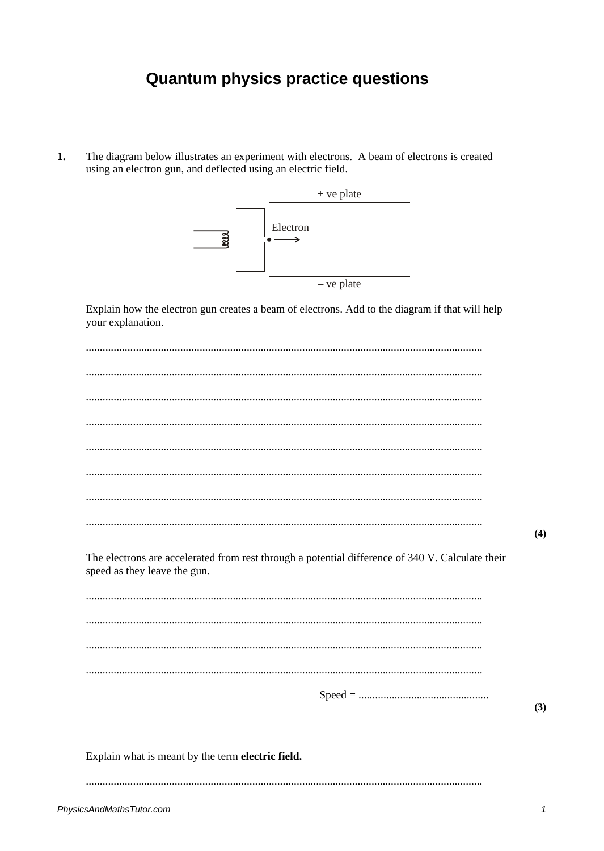## **Quantum physics practice questions**

 $1.$ The diagram below illustrates an experiment with electrons. A beam of electrons is created using an electron gun, and deflected using an electric field.



Explain how the electron gun creates a beam of electrons. Add to the diagram if that will help your explanation.

|                                                                                                                                  | (4) |
|----------------------------------------------------------------------------------------------------------------------------------|-----|
| The electrons are accelerated from rest through a potential difference of 340 V. Calculate their<br>speed as they leave the gun. |     |
|                                                                                                                                  |     |
|                                                                                                                                  |     |
|                                                                                                                                  |     |
|                                                                                                                                  |     |
|                                                                                                                                  | (3) |
|                                                                                                                                  |     |
| Explain what is meant by the term electric field.                                                                                |     |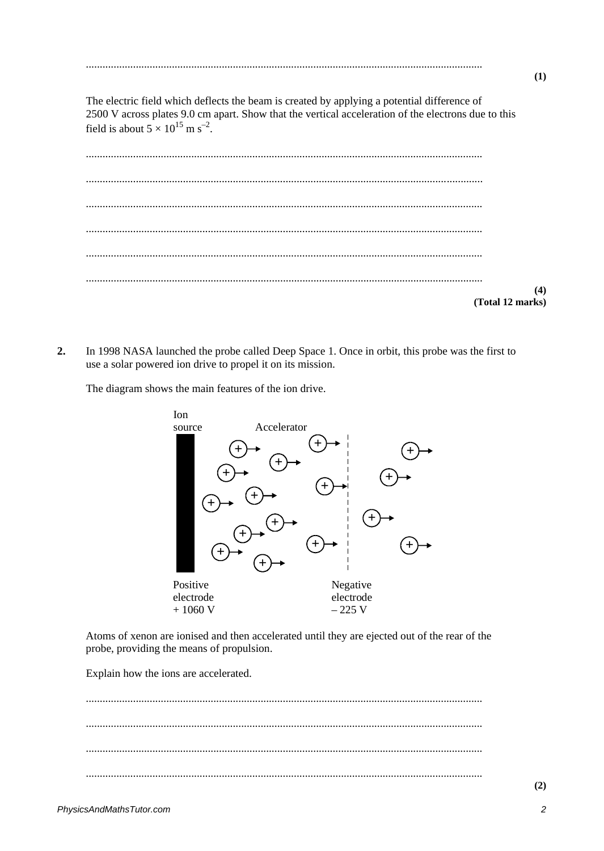The electric field which deflects the beam is created by applying a potential difference of 2500 V across plates 9.0 cm apart. Show that the vertical acceleration of the electrons due to this field is about  $5 \times 10^{15}$  m s<sup>-2</sup>.

| (4)<br>(Total 12 marks) |
|-------------------------|

 $2.$ In 1998 NASA launched the probe called Deep Space 1. Once in orbit, this probe was the first to use a solar powered ion drive to propel it on its mission.

The diagram shows the main features of the ion drive.



Atoms of xenon are ionised and then accelerated until they are ejected out of the rear of the probe, providing the means of propulsion.

Explain how the ions are accelerated.

 $(1)$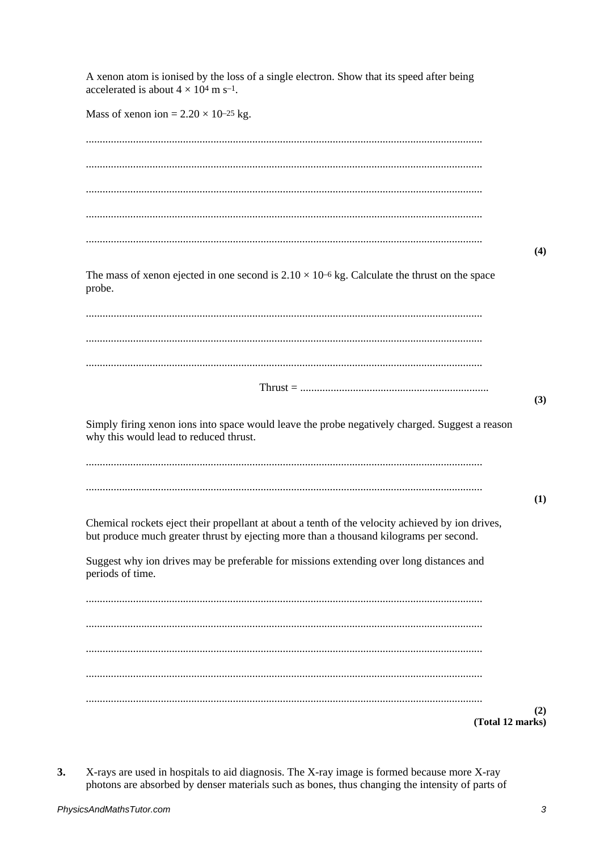A xenon atom is ionised by the loss of a single electron. Show that its speed after being accelerated is about  $4 \times 10^4$  m s<sup>-1</sup>. Mass of xenon ion =  $2.20 \times 10^{-25}$  kg.  $(4)$ The mass of xenon ejected in one second is  $2.10 \times 10^{-6}$  kg. Calculate the thrust on the space probe.  $(3)$ Simply firing xenon ions into space would leave the probe negatively charged. Suggest a reason why this would lead to reduced thrust.  $(1)$ Chemical rockets eject their propellant at about a tenth of the velocity achieved by ion drives, but produce much greater thrust by ejecting more than a thousand kilograms per second. Suggest why ion drives may be preferable for missions extending over long distances and periods of time.  $(2)$ (Total 12 marks)

 $3.$ X-rays are used in hospitals to aid diagnosis. The X-ray image is formed because more X-ray photons are absorbed by denser materials such as bones, thus changing the intensity of parts of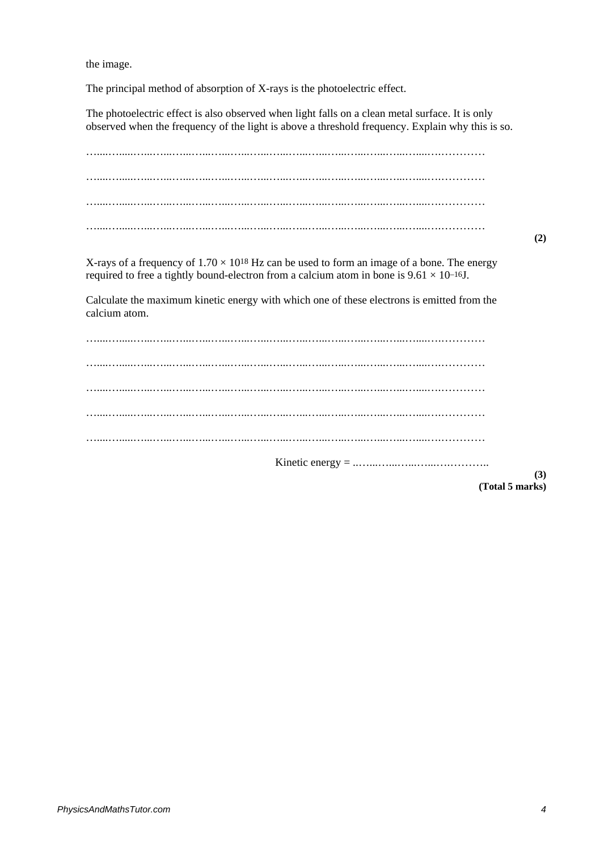the image.

The principal method of absorption of X-rays is the photoelectric effect.

The photoelectric effect is also observed when light falls on a clean metal surface. It is only observed when the frequency of the light is above a threshold frequency. Explain why this is so.

…....….....…...…...…...…...…...…...…...…...…...…...…...…...…...…...…....….………… …....….....…...…...…...…...…...…...…...…...…...…...…...…...…...…...…....….………… …....….....…...…...…...…...…...…...…...…...…...…...…...…...…...…...…....….………… …....….....…...…...…...…...…...…...…...…...…...…...…...…...…...…...…....….…………

**(2)**

X-rays of a frequency of  $1.70 \times 10^{18}$  Hz can be used to form an image of a bone. The energy required to free a tightly bound-electron from a calcium atom in bone is  $9.61 \times 10^{-16}$ J.

Calculate the maximum kinetic energy with which one of these electrons is emitted from the calcium atom.

…....….....…...…...…...…...…...…...…...…...…...…...…...…...…...…...…....….………… …....….....…...…...…...…...…...…...…...…...…...…...…...…...…...…...…....….………… …....….....…...…...…...…...…...…...…...…...…...…...…...…...…...…...…....….………… …....….....…...…...…...…...…...…...…...…...…...…...…...…...…...…...…....….………… …....….....…...…...…...…...…...…...…...…...…...…...…...…...…...…...…....….………… Kinetic energy = ..…...…...…...…...….………..

**(Total 5 marks)**

**(3)**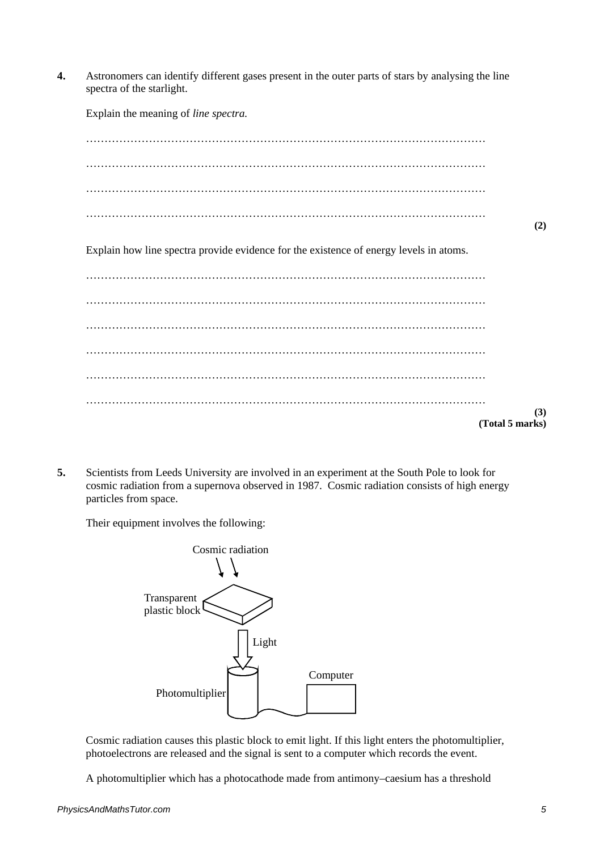**4.** Astronomers can identify different gases present in the outer parts of stars by analysing the line spectra of the starlight.

Explain the meaning of *line spectra.* ……………………………………………………………………………………………… ……………………………………………………………………………………………… ……………………………………………………………………………………………… ……………………………………………………………………………………………… **(2)** Explain how line spectra provide evidence for the existence of energy levels in atoms. ……………………………………………………………………………………………… ……………………………………………………………………………………………… ……………………………………………………………………………………………… ……………………………………………………………………………………………… ……………………………………………………………………………………………… ……………………………………………………………………………………………… **(3) (Total 5 marks)**

**5.** Scientists from Leeds University are involved in an experiment at the South Pole to look for cosmic radiation from a supernova observed in 1987. Cosmic radiation consists of high energy particles from space.

Their equipment involves the following:



Cosmic radiation causes this plastic block to emit light. If this light enters the photomultiplier, photoelectrons are released and the signal is sent to a computer which records the event.

A photomultiplier which has a photocathode made from antimony–caesium has a threshold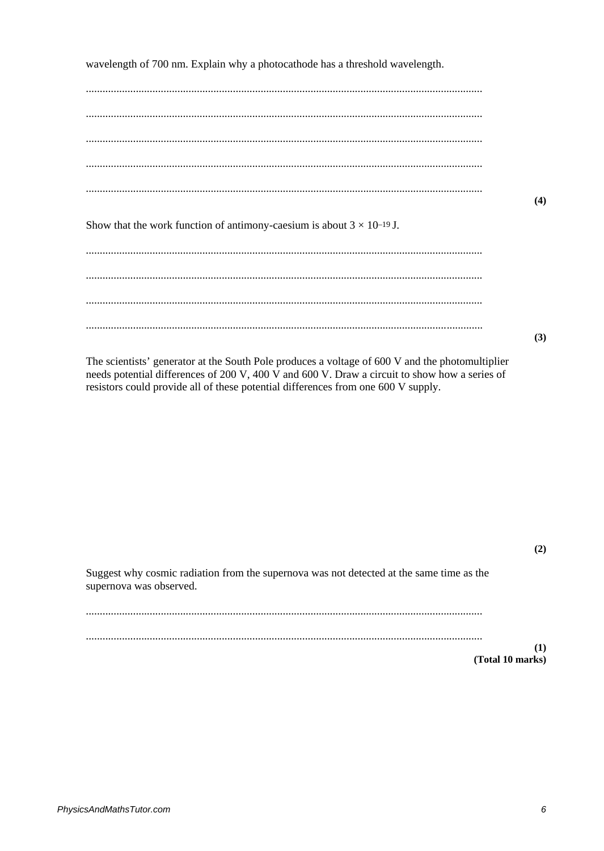wavelength of 700 nm. Explain why a photocathode has a threshold wavelength.

 $(4)$ Show that the work function of antimony-caesium is about  $3 \times 10^{-19}$  J.  $(3)$ 

The scientists' generator at the South Pole produces a voltage of 600 V and the photomultiplier needs potential differences of 200 V, 400 V and 600 V. Draw a circuit to show how a series of resistors could provide all of these potential differences from one 600 V supply.

 $(2)$ 

Suggest why cosmic radiation from the supernova was not detected at the same time as the supernova was observed. 

 $(1)$ 

(Total 10 marks)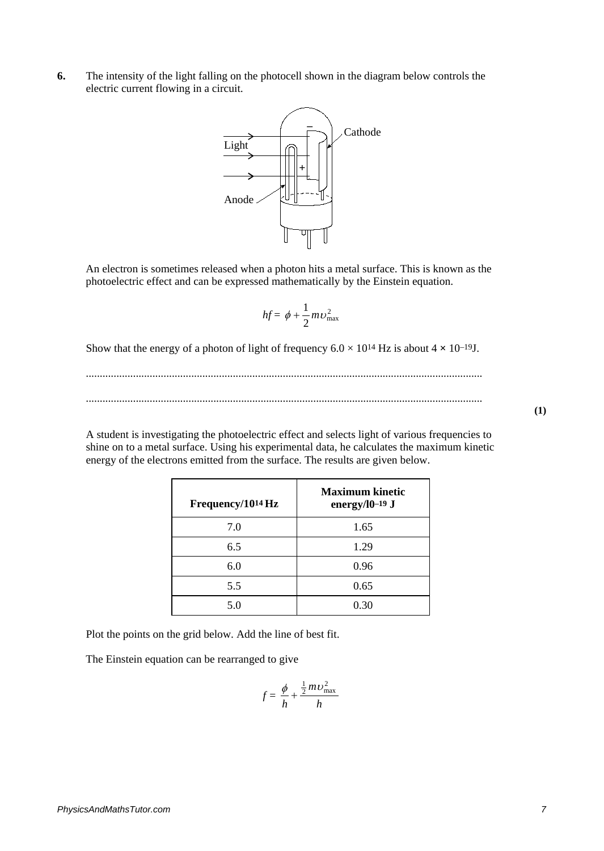**6.** The intensity of the light falling on the photocell shown in the diagram below controls the electric current flowing in a circuit.



An electron is sometimes released when a photon hits a metal surface. This is known as the photoelectric effect and can be expressed mathematically by the Einstein equation.

$$
hf = \phi + \frac{1}{2} m v_{\text{max}}^2
$$

Show that the energy of a photon of light of frequency  $6.0 \times 10^{14}$  Hz is about  $4 \times 10^{-19}$ J.

............................................................................................................................................... ...............................................................................................................................................

A student is investigating the photoelectric effect and selects light of various frequencies to shine on to a metal surface. Using his experimental data, he calculates the maximum kinetic energy of the electrons emitted from the surface. The results are given below.

| Frequency/10 <sup>14</sup> Hz | <b>Maximum kinetic</b><br>energy/ $10$ -19 J |
|-------------------------------|----------------------------------------------|
| 7.0                           | 1.65                                         |
| 6.5                           | 1.29                                         |
| 6.0                           | 0.96                                         |
| 5.5                           | 0.65                                         |
| 5.0                           | 0.30                                         |

Plot the points on the grid below. Add the line of best fit.

The Einstein equation can be rearranged to give

$$
f = \frac{\phi}{h} + \frac{\frac{1}{2} m v_{\text{max}}^2}{h}
$$

**(1)**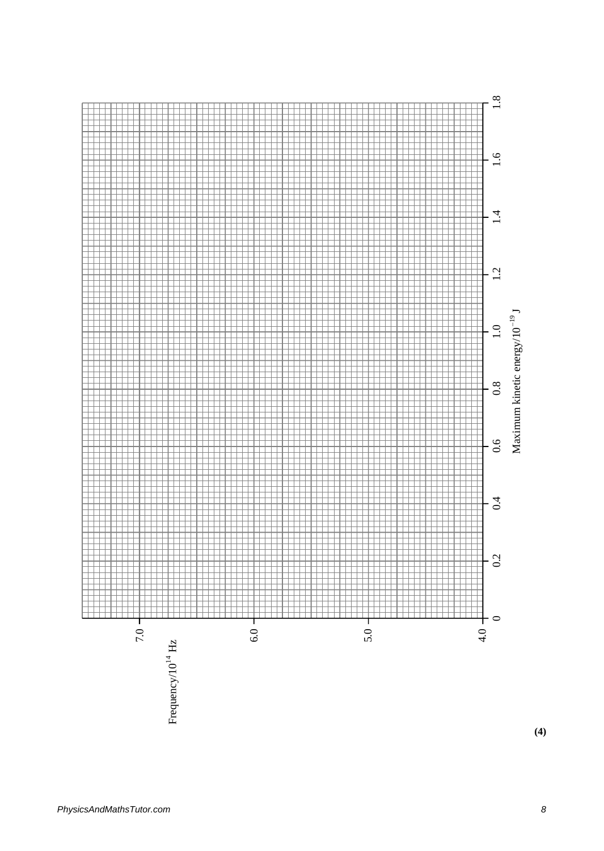

**(4)**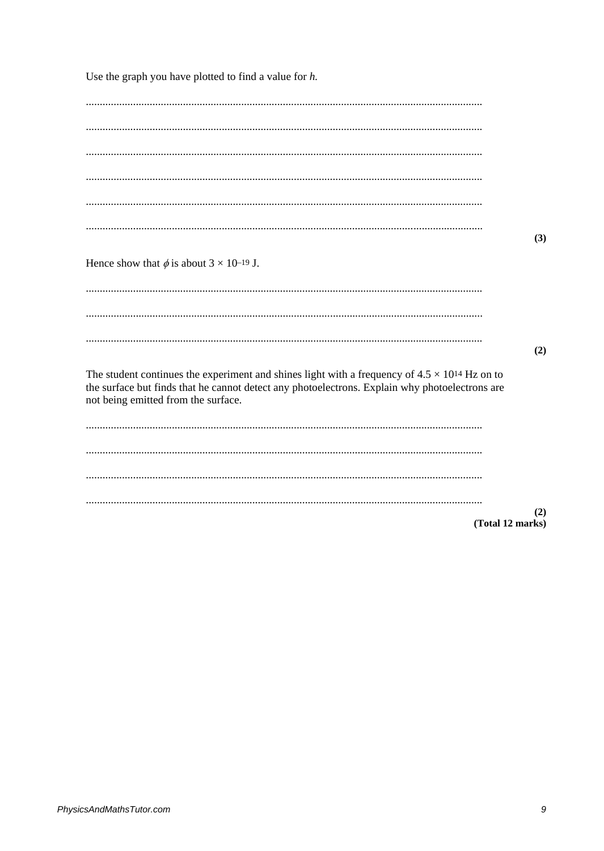Use the graph you have plotted to find a value for  $h$ .

|                                                                                                                                                                                                                                                  | (3)                     |
|--------------------------------------------------------------------------------------------------------------------------------------------------------------------------------------------------------------------------------------------------|-------------------------|
| Hence show that $\phi$ is about $3 \times 10^{-19}$ J.                                                                                                                                                                                           |                         |
|                                                                                                                                                                                                                                                  |                         |
|                                                                                                                                                                                                                                                  |                         |
|                                                                                                                                                                                                                                                  | (2)                     |
| The student continues the experiment and shines light with a frequency of $4.5 \times 10^{14}$ Hz on to<br>the surface but finds that he cannot detect any photoelectrons. Explain why photoelectrons are<br>not being emitted from the surface. |                         |
|                                                                                                                                                                                                                                                  |                         |
|                                                                                                                                                                                                                                                  |                         |
|                                                                                                                                                                                                                                                  |                         |
|                                                                                                                                                                                                                                                  | (2)<br>(Total 12 marks) |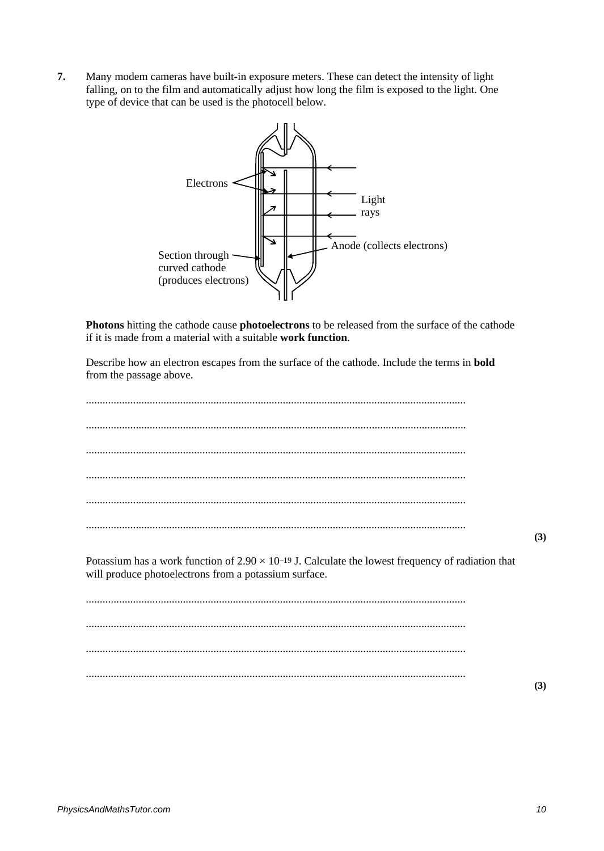**7.** Many modem cameras have built-in exposure meters. These can detect the intensity of light falling, on to the film and automatically adjust how long the film is exposed to the light. One type of device that can be used is the photocell below.



**Photons** hitting the cathode cause **photoelectrons** to be released from the surface of the cathode if it is made from a material with a suitable **work function**.

Describe how an electron escapes from the surface of the cathode. Include the terms in **bold**  from the passage above.

......................................................................................................................................... ......................................................................................................................................... ......................................................................................................................................... ......................................................................................................................................... ......................................................................................................................................... ......................................................................................................................................... **(3)** Potassium has a work function of  $2.90 \times 10^{-19}$  J. Calculate the lowest frequency of radiation that will produce photoelectrons from a potassium surface. ......................................................................................................................................... ......................................................................................................................................... ......................................................................................................................................... ......................................................................................................................................... **(3)**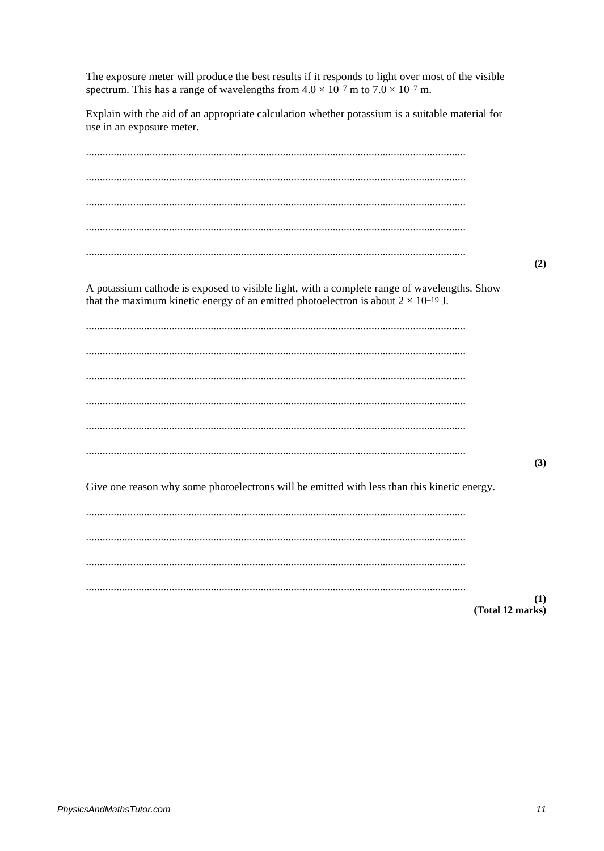The exposure meter will produce the best results if it responds to light over most of the visible spectrum. This has a range of wavelengths from  $4.0 \times 10^{-7}$  m to  $7.0 \times 10^{-7}$  m.

Explain with the aid of an appropriate calculation whether potassium is a suitable material for use in an exposure meter.

 $(2)$ A potassium cathode is exposed to visible light, with a complete range of wavelengths. Show that the maximum kinetic energy of an emitted photoelectron is about  $2 \times 10^{-19}$  J.  $(3)$ Give one reason why some photoelectrons will be emitted with less than this kinetic energy.  $(1)$ (Total 12 marks)

PhysicsAndMathsTutor.com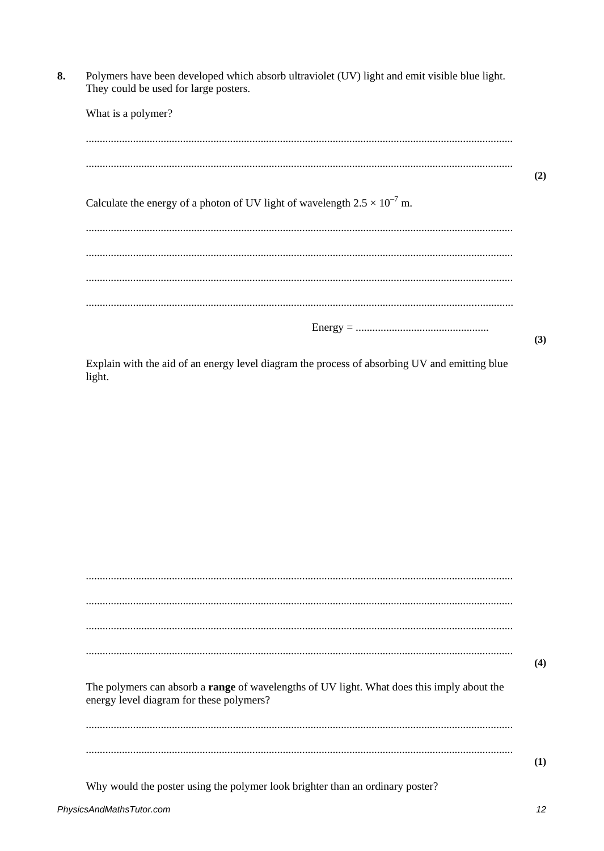Polymers have been developed which absorb ultraviolet (UV) light and emit visible blue light. 8. They could be used for large posters.

| What is a polymer?                                                                 |     |
|------------------------------------------------------------------------------------|-----|
|                                                                                    |     |
|                                                                                    | (2) |
| Calculate the energy of a photon of UV light of wavelength $2.5 \times 10^{-7}$ m. |     |
|                                                                                    |     |
|                                                                                    |     |
|                                                                                    |     |
|                                                                                    |     |
|                                                                                    | (3) |

Explain with the aid of an energy level diagram the process of absorbing UV and emitting blue  $light.$ 

| The polymers can absorb a range of wavelengths of UV light. What does this imply about the | (4) |
|--------------------------------------------------------------------------------------------|-----|
| energy level diagram for these polymers?                                                   |     |
|                                                                                            |     |
|                                                                                            | (1) |
| Why would the poster using the polymer look brighter than an ordinary poster?              |     |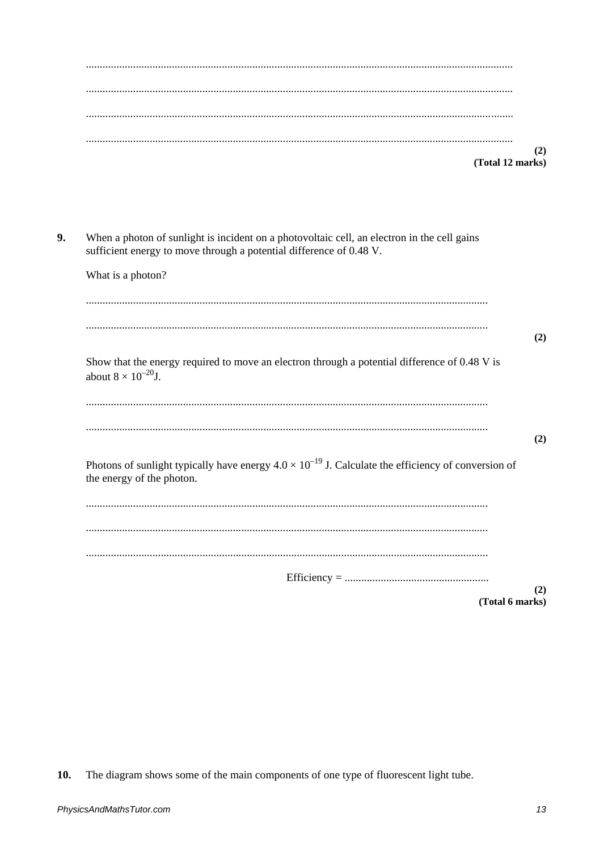| $(2)$<br>(Total 12 marks) |
|---------------------------|
|                           |

When a photon of sunlight is incident on a photovoltaic cell, an electron in the cell gains 9. sufficient energy to move through a potential difference of 0.48 V.

| What is a photon?                                                                                                                         |  |
|-------------------------------------------------------------------------------------------------------------------------------------------|--|
|                                                                                                                                           |  |
| (2)                                                                                                                                       |  |
| Show that the energy required to move an electron through a potential difference of 0.48 V is<br>about $8 \times 10^{-20}$ J.             |  |
|                                                                                                                                           |  |
| (2)                                                                                                                                       |  |
| Photons of sunlight typically have energy $4.0 \times 10^{-19}$ J. Calculate the efficiency of conversion of<br>the energy of the photon. |  |
|                                                                                                                                           |  |
|                                                                                                                                           |  |
|                                                                                                                                           |  |
| $Efficiency = 1$                                                                                                                          |  |
| (2)<br>(Total 6 marks)                                                                                                                    |  |

The diagram shows some of the main components of one type of fluorescent light tube. 10.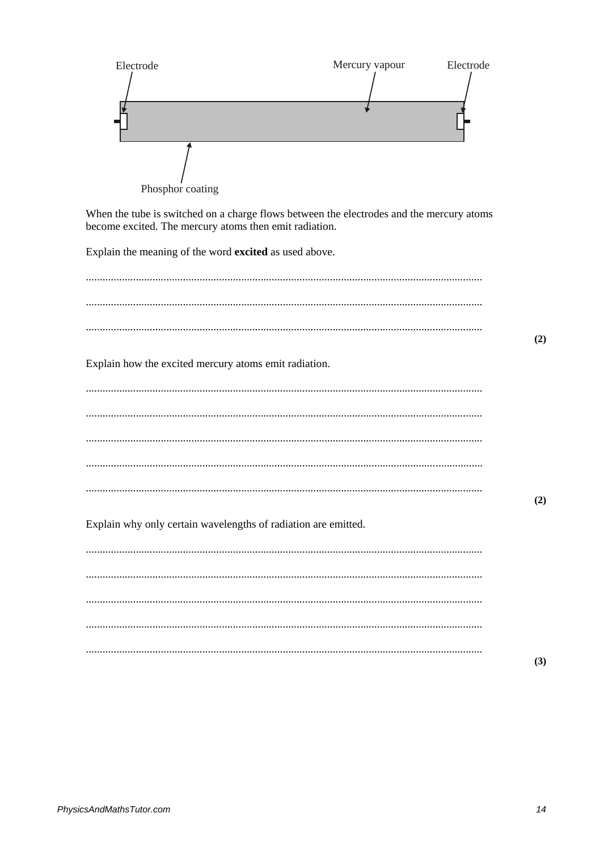

When the tube is switched on a charge flows between the electrodes and the mercury atoms become excited. The mercury atoms then emit radiation.

Explain the meaning of the word excited as used above.

|                                                                | (2) |
|----------------------------------------------------------------|-----|
| Explain how the excited mercury atoms emit radiation.          |     |
|                                                                |     |
|                                                                |     |
|                                                                |     |
|                                                                |     |
| Explain why only certain wavelengths of radiation are emitted. | (2) |
|                                                                |     |
|                                                                |     |
|                                                                |     |
|                                                                |     |
|                                                                | (3) |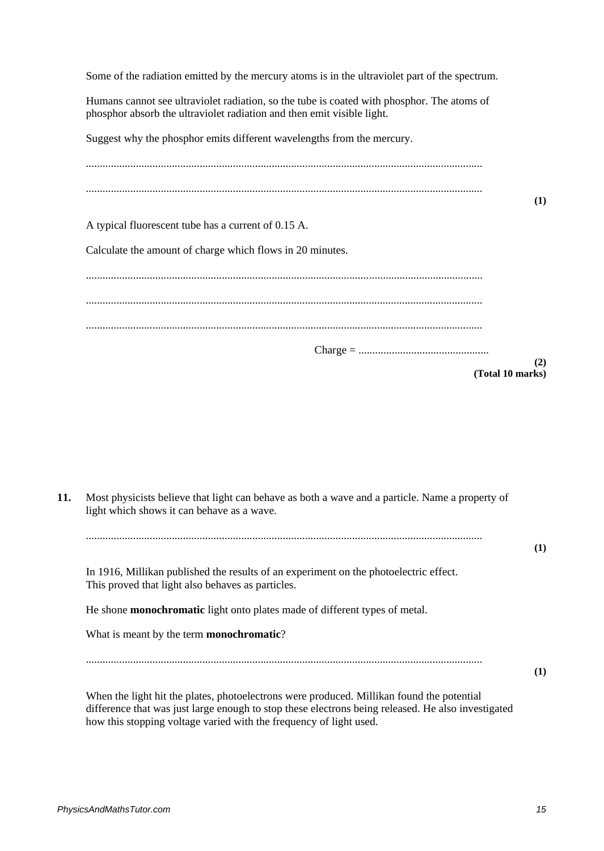Some of the radiation emitted by the mercury atoms is in the ultraviolet part of the spectrum.

Humans cannot see ultraviolet radiation, so the tube is coated with phosphor. The atoms of phosphor absorb the ultraviolet radiation and then emit visible light.

Suggest why the phosphor emits different wavelengths from the mercury.

|                                                           | (1)                     |
|-----------------------------------------------------------|-------------------------|
| A typical fluorescent tube has a current of 0.15 A.       |                         |
| Calculate the amount of charge which flows in 20 minutes. |                         |
|                                                           |                         |
|                                                           |                         |
|                                                           |                         |
|                                                           |                         |
|                                                           | (2)<br>(Total 10 marks) |

| 11. | Most physicists believe that light can behave as both a wave and a particle. Name a property of<br>light which shows it can behave as a wave.                                                                                                                         |     |
|-----|-----------------------------------------------------------------------------------------------------------------------------------------------------------------------------------------------------------------------------------------------------------------------|-----|
|     |                                                                                                                                                                                                                                                                       | (1) |
|     | In 1916, Millikan published the results of an experiment on the photoelectric effect.<br>This proved that light also behaves as particles.                                                                                                                            |     |
|     | He shone <b>monochromatic</b> light onto plates made of different types of metal.                                                                                                                                                                                     |     |
|     | What is meant by the term <b>monochromatic</b> ?                                                                                                                                                                                                                      |     |
|     |                                                                                                                                                                                                                                                                       | (1) |
|     | When the light hit the plates, photoelectrons were produced. Millikan found the potential<br>difference that was just large enough to stop these electrons being released. He also investigated<br>how this stopping voltage varied with the frequency of light used. |     |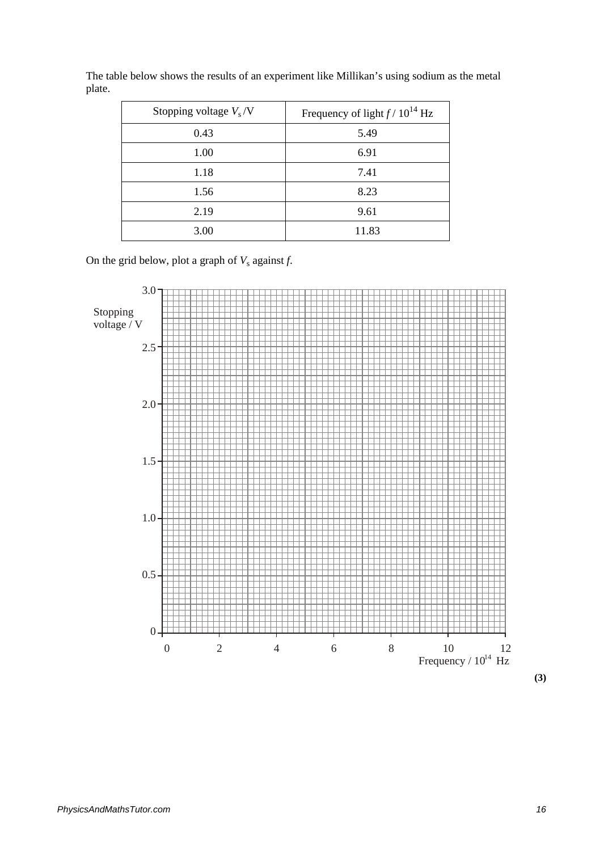| Stopping voltage $V_s/V$ | Frequency of light $f/10^{14}$ Hz |
|--------------------------|-----------------------------------|
| 0.43                     | 5.49                              |
| 1.00                     | 6.91                              |
| 1.18                     | 7.41                              |
| 1.56                     | 8.23                              |
| 2.19                     | 9.61                              |
| 3.00                     | 11.83                             |

The table below shows the results of an experiment like Millikan's using sodium as the metal plate.

On the grid below, plot a graph of  $V_s$  against  $f$ .



**(3)**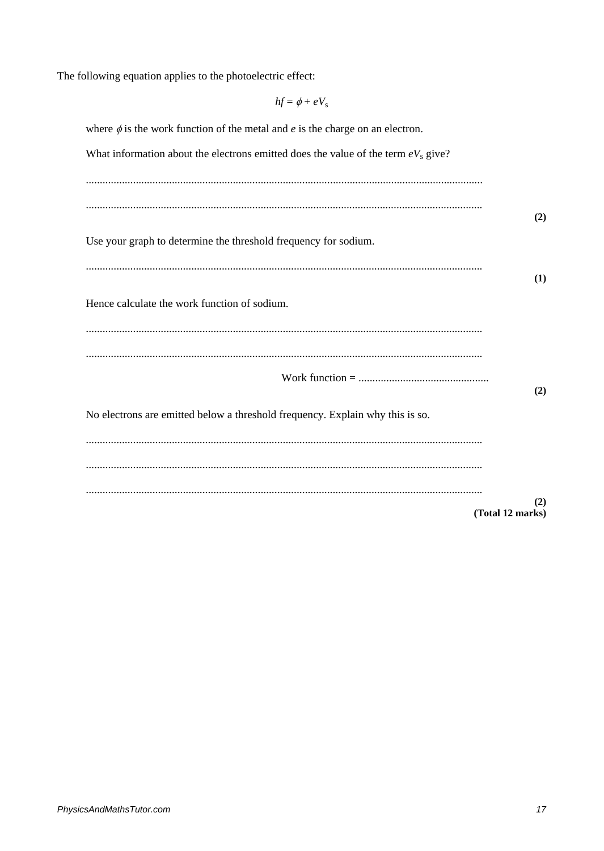The following equation applies to the photoelectric effect:

| $hf = \phi + eV_s$                                                                        |                         |
|-------------------------------------------------------------------------------------------|-------------------------|
| where $\phi$ is the work function of the metal and <i>e</i> is the charge on an electron. |                         |
| What information about the electrons emitted does the value of the term $eV_s$ give?      |                         |
|                                                                                           |                         |
|                                                                                           |                         |
| Use your graph to determine the threshold frequency for sodium.                           | (2)                     |
|                                                                                           |                         |
|                                                                                           | (1)                     |
| Hence calculate the work function of sodium.                                              |                         |
|                                                                                           |                         |
|                                                                                           |                         |
|                                                                                           | (2)                     |
| No electrons are emitted below a threshold frequency. Explain why this is so.             |                         |
|                                                                                           |                         |
|                                                                                           |                         |
|                                                                                           | (2)<br>(Total 12 marks) |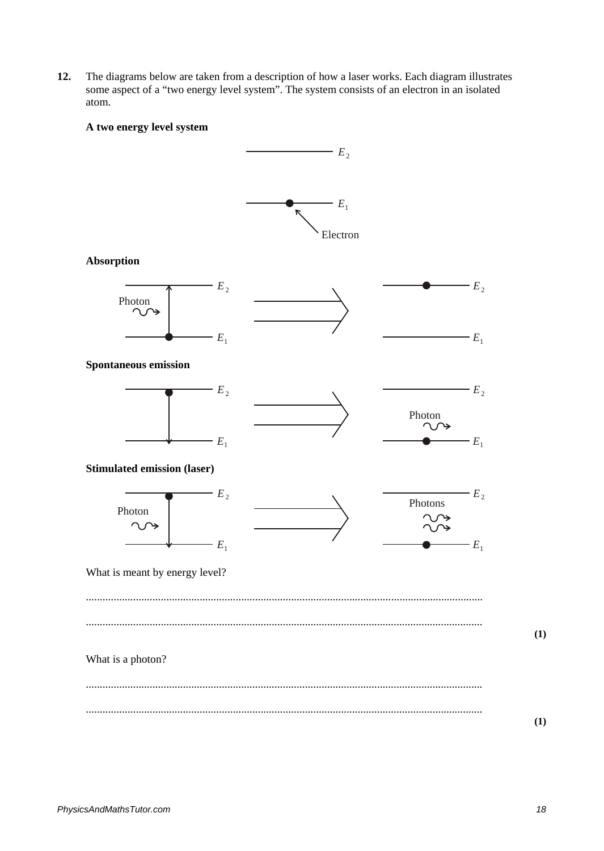**12.** The diagrams below are taken from a description of how a laser works. Each diagram illustrates some aspect of a "two energy level system". The system consists of an electron in an isolated atom.

## **A two energy level system**